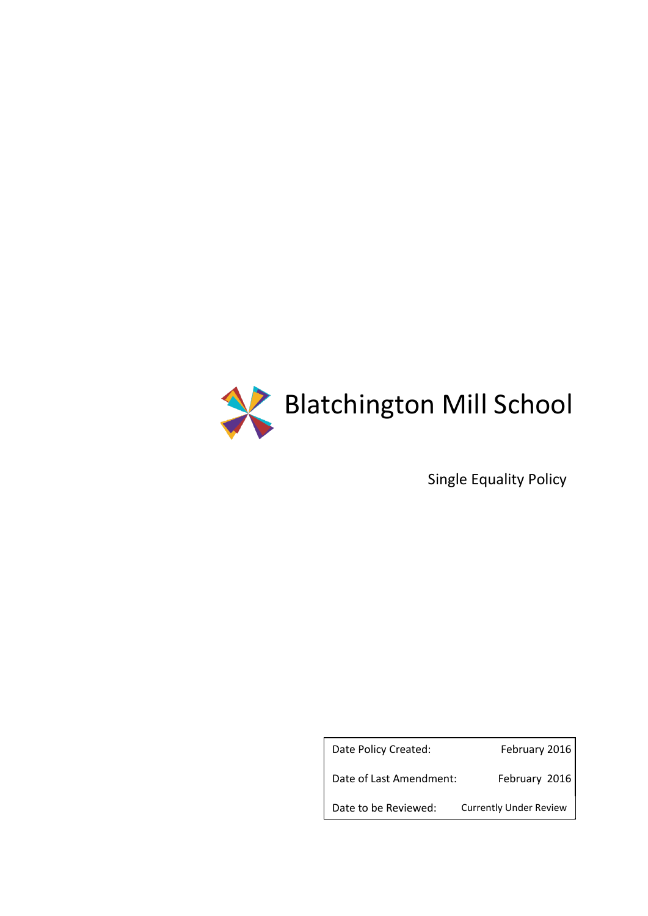

Single Equality Policy

Date Policy Created: February 2016 Date of Last Amendment: February 2016 Date to be Reviewed: Currently Under Review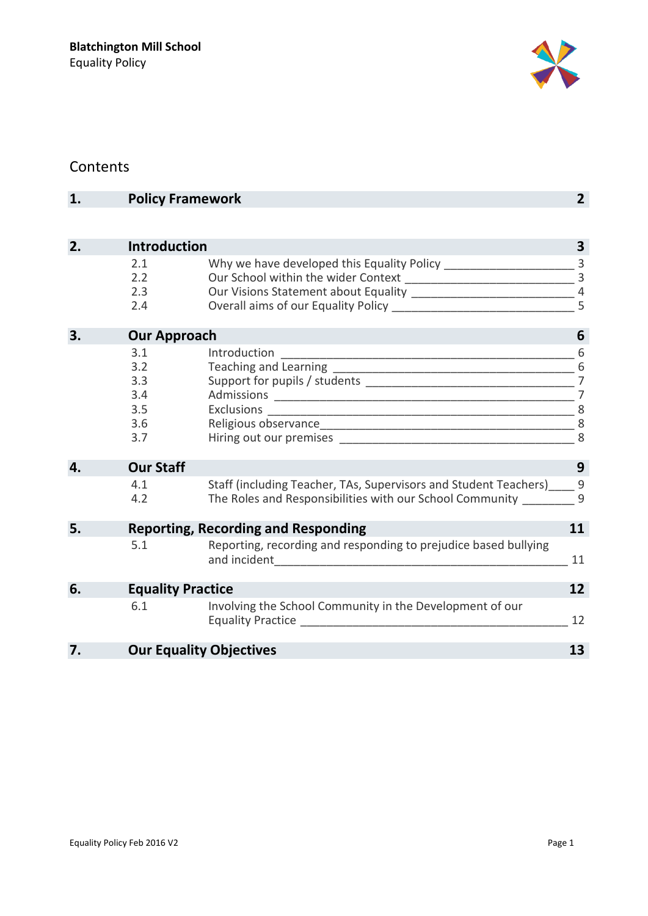

## Contents

| 1. |                     | <b>Policy Framework</b>                                          |                |  |  |  |
|----|---------------------|------------------------------------------------------------------|----------------|--|--|--|
|    |                     |                                                                  |                |  |  |  |
| 2. | <b>Introduction</b> |                                                                  | 3              |  |  |  |
|    | 2.1                 |                                                                  | $\overline{3}$ |  |  |  |
|    | 2.2                 |                                                                  | $\overline{3}$ |  |  |  |
|    | 2.3                 |                                                                  | $\overline{4}$ |  |  |  |
|    | 2.4                 |                                                                  | 5              |  |  |  |
| 3. | <b>Our Approach</b> |                                                                  | 6              |  |  |  |
|    | 3.1                 | Introduction                                                     | 6              |  |  |  |
|    | 3.2                 |                                                                  |                |  |  |  |
|    | 3.3                 |                                                                  |                |  |  |  |
|    | 3.4                 |                                                                  |                |  |  |  |
|    | 3.5                 | Exclusions                                                       | 8              |  |  |  |
|    | 3.6                 |                                                                  |                |  |  |  |
|    | 3.7                 |                                                                  |                |  |  |  |
| 4. | <b>Our Staff</b>    |                                                                  | 9              |  |  |  |
|    | 4.1                 | Staff (including Teacher, TAs, Supervisors and Student Teachers) | 9              |  |  |  |
|    | 4.2                 | The Roles and Responsibilities with our School Community         | 9              |  |  |  |
| 5. |                     | <b>Reporting, Recording and Responding</b>                       | 11             |  |  |  |
|    | 5.1                 | Reporting, recording and responding to prejudice based bullying  | 11             |  |  |  |
| 6. |                     | <b>Equality Practice</b>                                         | 12             |  |  |  |
|    | 6.1                 | Involving the School Community in the Development of our         | 12             |  |  |  |
| 7. |                     | <b>Our Equality Objectives</b>                                   | 13             |  |  |  |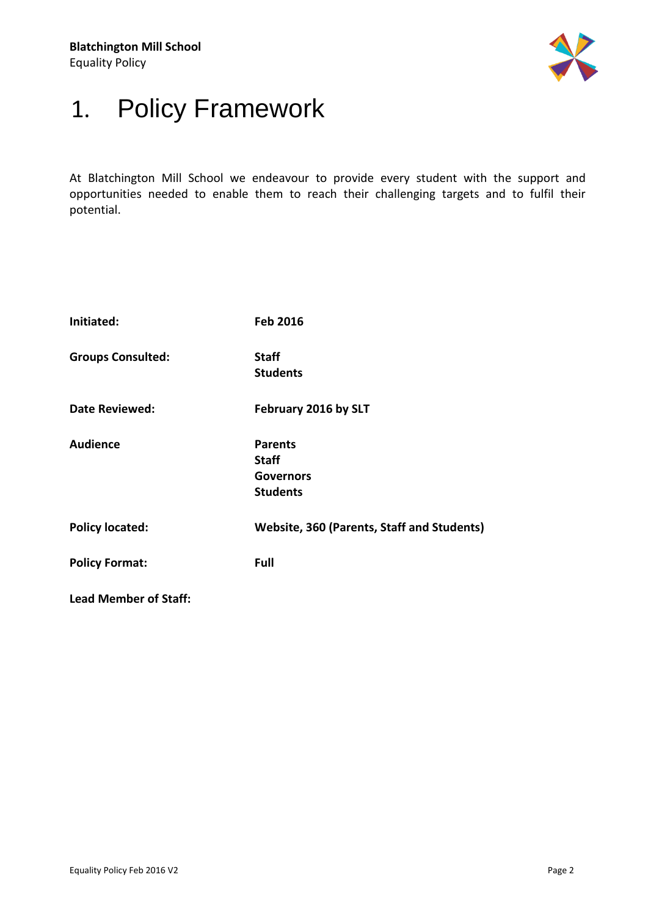

## <span id="page-2-0"></span>1. Policy Framework

At Blatchington Mill School we endeavour to provide every student with the support and opportunities needed to enable them to reach their challenging targets and to fulfil their potential.

| Initiated:                   | <b>Feb 2016</b>                                                       |
|------------------------------|-----------------------------------------------------------------------|
| <b>Groups Consulted:</b>     | <b>Staff</b><br><b>Students</b>                                       |
| <b>Date Reviewed:</b>        | February 2016 by SLT                                                  |
| <b>Audience</b>              | <b>Parents</b><br><b>Staff</b><br><b>Governors</b><br><b>Students</b> |
| <b>Policy located:</b>       | Website, 360 (Parents, Staff and Students)                            |
| <b>Policy Format:</b>        | Full                                                                  |
| <b>Lead Member of Staff:</b> |                                                                       |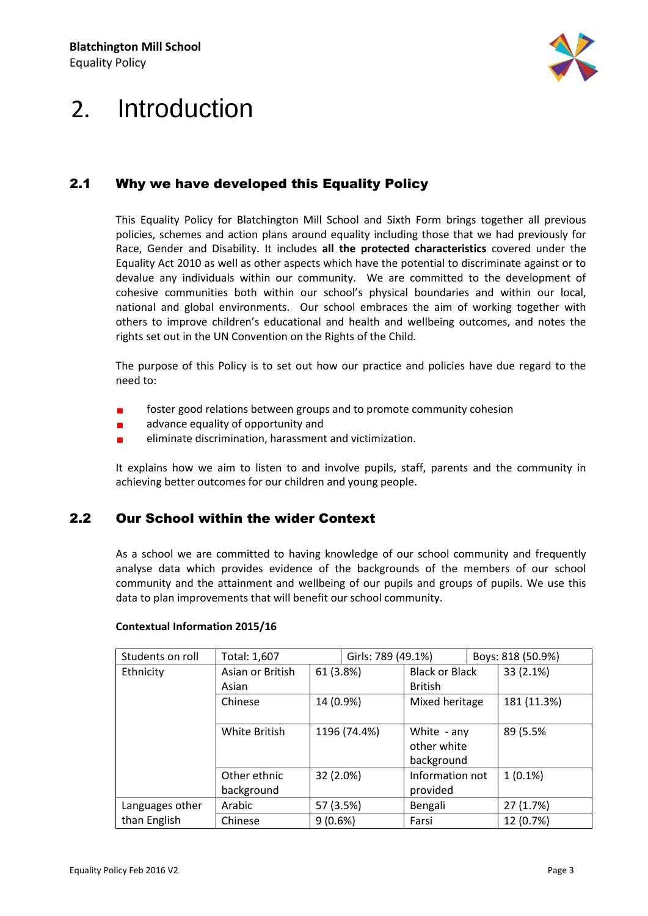

## <span id="page-3-0"></span>2. Introduction

### <span id="page-3-1"></span>2.1 Why we have developed this Equality Policy

This Equality Policy for Blatchington Mill School and Sixth Form brings together all previous policies, schemes and action plans around equality including those that we had previously for Race, Gender and Disability. It includes **all the protected characteristics** covered under the Equality Act 2010 as well as other aspects which have the potential to discriminate against or to devalue any individuals within our community. We are committed to the development of cohesive communities both within our school's physical boundaries and within our local, national and global environments. Our school embraces the aim of working together with others to improve children's educational and health and wellbeing outcomes, and notes the rights set out in the UN Convention on the Rights of the Child.

The purpose of this Policy is to set out how our practice and policies have due regard to the need to:

- foster good relations between groups and to promote community cohesion  $\blacksquare$
- $\blacksquare$ advance equality of opportunity and
- $\blacksquare$ eliminate discrimination, harassment and victimization.

It explains how we aim to listen to and involve pupils, staff, parents and the community in achieving better outcomes for our children and young people.

#### <span id="page-3-2"></span>2.2 Our School within the wider Context

As a school we are committed to having knowledge of our school community and frequently analyse data which provides evidence of the backgrounds of the members of our school community and the attainment and wellbeing of our pupils and groups of pupils. We use this data to plan improvements that will benefit our school community.

| Students on roll | Total: 1,607     |            | Girls: 789 (49.1%) |                       | Boys: 818 (50.9%) |             |
|------------------|------------------|------------|--------------------|-----------------------|-------------------|-------------|
| Ethnicity        | Asian or British | 61 (3.8%)  |                    | <b>Black or Black</b> |                   | 33 (2.1%)   |
|                  | Asian            |            |                    | <b>British</b>        |                   |             |
|                  | Chinese          | 14 (0.9%)  |                    | Mixed heritage        |                   | 181 (11.3%) |
|                  |                  |            |                    |                       |                   |             |
|                  | White British    |            | 1196 (74.4%)       | White - any           |                   | 89 (5.5%    |
|                  |                  |            |                    | other white           |                   |             |
|                  |                  |            |                    | background            |                   |             |
|                  | Other ethnic     | 32 (2.0%)  |                    | Information not       |                   | $1(0.1\%)$  |
|                  | background       |            |                    | provided              |                   |             |
| Languages other  | Arabic           | 57 (3.5%)  |                    | Bengali               |                   | 27 (1.7%)   |
| than English     | Chinese          | $9(0.6\%)$ |                    | Farsi                 |                   | 12 (0.7%)   |

#### **Contextual Information 2015/16**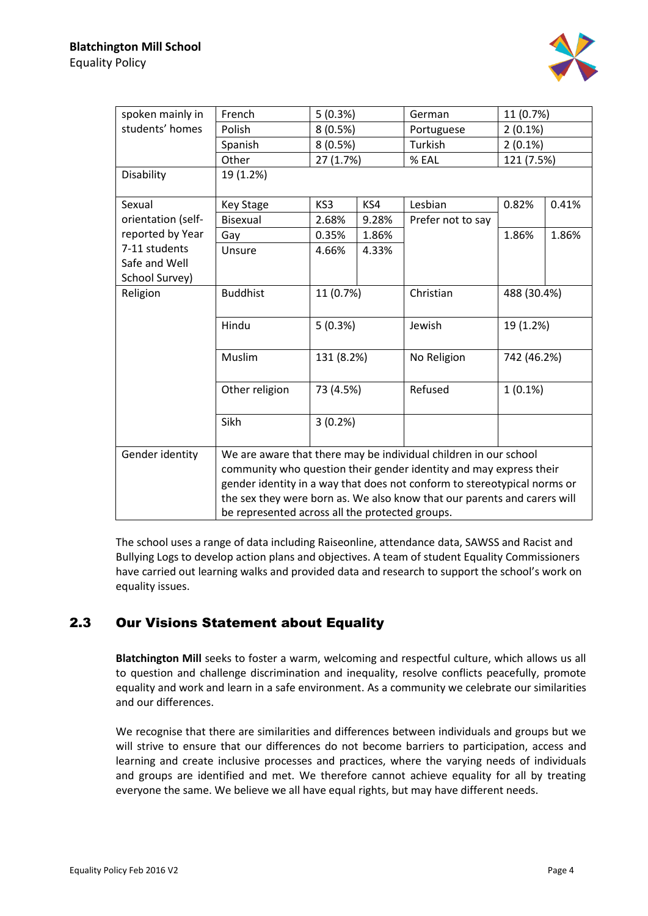

| spoken mainly in                                                         | French                                                                   | 5(0.3%)                          |     | German            | 11 (0.7%)   |       |  |  |  |
|--------------------------------------------------------------------------|--------------------------------------------------------------------------|----------------------------------|-----|-------------------|-------------|-------|--|--|--|
| students' homes                                                          | Polish                                                                   | 8(0.5%)                          |     | Portuguese        | $2(0.1\%)$  |       |  |  |  |
|                                                                          | Spanish                                                                  | 8(0.5%)                          |     | Turkish           | $2(0.1\%)$  |       |  |  |  |
|                                                                          | Other                                                                    | 27 (1.7%)                        |     | % EAL             | 121 (7.5%)  |       |  |  |  |
| Disability                                                               | 19 (1.2%)                                                                |                                  |     |                   |             |       |  |  |  |
| Sexual                                                                   | <b>Key Stage</b>                                                         | KS3                              | KS4 | Lesbian           | 0.82%       | 0.41% |  |  |  |
| orientation (self-                                                       | Bisexual                                                                 | 2.68%<br>9.28%<br>0.35%<br>1.86% |     | Prefer not to say |             |       |  |  |  |
| reported by Year                                                         | Gay                                                                      |                                  |     |                   | 1.86%       | 1.86% |  |  |  |
| 7-11 students                                                            | Unsure                                                                   | 4.66%<br>4.33%                   |     |                   |             |       |  |  |  |
| Safe and Well                                                            |                                                                          |                                  |     |                   |             |       |  |  |  |
| School Survey)                                                           |                                                                          |                                  |     |                   |             |       |  |  |  |
| Religion                                                                 | <b>Buddhist</b>                                                          | 11 (0.7%)                        |     | Christian         | 488 (30.4%) |       |  |  |  |
|                                                                          |                                                                          |                                  |     |                   |             |       |  |  |  |
|                                                                          | Hindu                                                                    | 5(0.3%)                          |     | Jewish            | 19 (1.2%)   |       |  |  |  |
|                                                                          |                                                                          |                                  |     |                   |             |       |  |  |  |
|                                                                          | Muslim                                                                   | 131 (8.2%)                       |     | No Religion       | 742 (46.2%) |       |  |  |  |
|                                                                          |                                                                          |                                  |     |                   |             |       |  |  |  |
|                                                                          | Other religion                                                           | 73 (4.5%)                        |     | Refused           | $1(0.1\%)$  |       |  |  |  |
|                                                                          |                                                                          |                                  |     |                   |             |       |  |  |  |
|                                                                          | Sikh                                                                     | 3(0.2%)                          |     |                   |             |       |  |  |  |
|                                                                          |                                                                          |                                  |     |                   |             |       |  |  |  |
| Gender identity                                                          | We are aware that there may be individual children in our school         |                                  |     |                   |             |       |  |  |  |
|                                                                          | community who question their gender identity and may express their       |                                  |     |                   |             |       |  |  |  |
| gender identity in a way that does not conform to stereotypical norms or |                                                                          |                                  |     |                   |             |       |  |  |  |
|                                                                          | the sex they were born as. We also know that our parents and carers will |                                  |     |                   |             |       |  |  |  |
| be represented across all the protected groups.                          |                                                                          |                                  |     |                   |             |       |  |  |  |

The school uses a range of data including Raiseonline, attendance data, SAWSS and Racist and Bullying Logs to develop action plans and objectives. A team of student Equality Commissioners have carried out learning walks and provided data and research to support the school's work on equality issues.

#### <span id="page-4-0"></span>2.3 Our Visions Statement about Equality

**Blatchington Mill** seeks to foster a warm, welcoming and respectful culture, which allows us all to question and challenge discrimination and inequality, resolve conflicts peacefully, promote equality and work and learn in a safe environment. As a community we celebrate our similarities and our differences.

We recognise that there are similarities and differences between individuals and groups but we will strive to ensure that our differences do not become barriers to participation, access and learning and create inclusive processes and practices, where the varying needs of individuals and groups are identified and met. We therefore cannot achieve equality for all by treating everyone the same. We believe we all have equal rights, but may have different needs.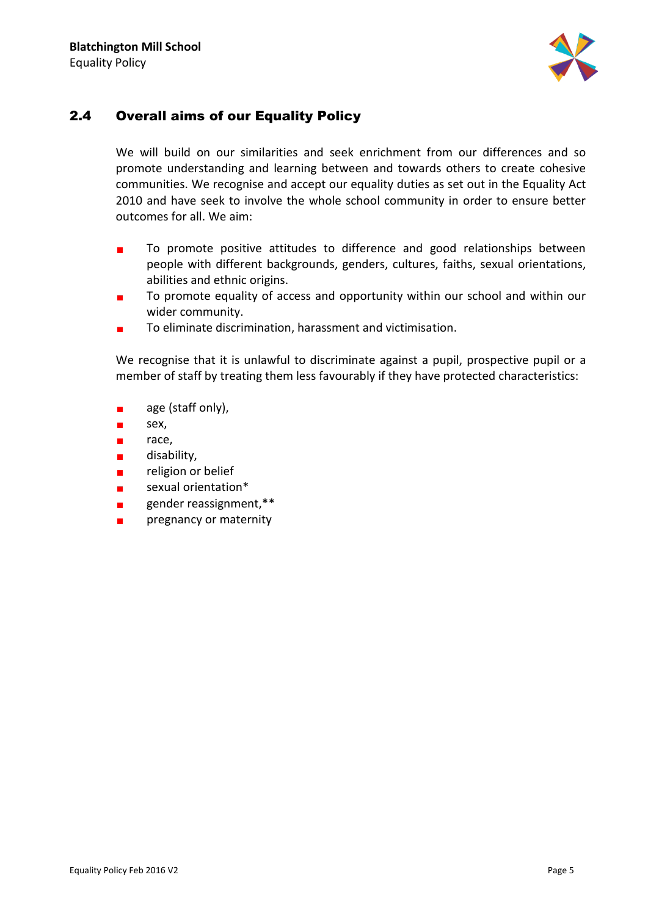

### <span id="page-5-0"></span>2.4 Overall aims of our Equality Policy

We will build on our similarities and seek enrichment from our differences and so promote understanding and learning between and towards others to create cohesive communities. We recognise and accept our equality duties as set out in the Equality Act 2010 and have seek to involve the whole school community in order to ensure better outcomes for all. We aim:

- To promote positive attitudes to difference and good relationships between  $\blacksquare$ people with different backgrounds, genders, cultures, faiths, sexual orientations, abilities and ethnic origins.
- To promote equality of access and opportunity within our school and within our  $\blacksquare$ wider community.
- To eliminate discrimination, harassment and victimisation.  $\blacksquare$

We recognise that it is unlawful to discriminate against a pupil, prospective pupil or a member of staff by treating them less favourably if they have protected characteristics:

- $\blacksquare$ age (staff only),
- sex,  $\blacksquare$
- race,  $\blacksquare$
- disability,  $\blacksquare$
- religion or belief  $\blacksquare$
- sexual orientation\*  $\blacksquare$
- gender reassignment,\*\*  $\blacksquare$
- pregnancy or maternity $\mathbf{r}$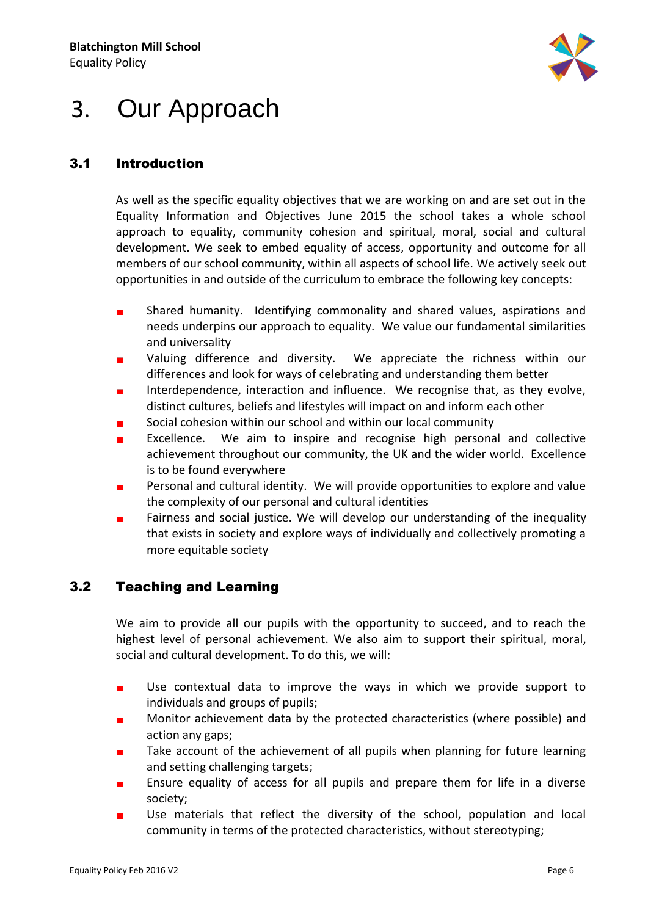

## <span id="page-6-0"></span>3. Our Approach

### <span id="page-6-1"></span>3.1 Introduction

As well as the specific equality objectives that we are working on and are set out in the Equality Information and Objectives June 2015 the school takes a whole school approach to equality, community cohesion and spiritual, moral, social and cultural development. We seek to embed equality of access, opportunity and outcome for all members of our school community, within all aspects of school life. We actively seek out opportunities in and outside of the curriculum to embrace the following key concepts:

- Shared humanity. Identifying commonality and shared values, aspirations and  $\blacksquare$ needs underpins our approach to equality. We value our fundamental similarities and universality
- Valuing difference and diversity. We appreciate the richness within our differences and look for ways of celebrating and understanding them better
- Interdependence, interaction and influence. We recognise that, as they evolve, ×. distinct cultures, beliefs and lifestyles will impact on and inform each other
- Social cohesion within our school and within our local community
- Excellence. We aim to inspire and recognise high personal and collective  $\blacksquare$ achievement throughout our community, the UK and the wider world. Excellence is to be found everywhere
- Personal and cultural identity. We will provide opportunities to explore and value  $\blacksquare$ the complexity of our personal and cultural identities
- Fairness and social justice. We will develop our understanding of the inequality  $\blacksquare$ that exists in society and explore ways of individually and collectively promoting a more equitable society

### <span id="page-6-2"></span>3.2 Teaching and Learning

We aim to provide all our pupils with the opportunity to succeed, and to reach the highest level of personal achievement. We also aim to support their spiritual, moral, social and cultural development. To do this, we will:

- $\blacksquare$ Use contextual data to improve the ways in which we provide support to individuals and groups of pupils;
- Monitor achievement data by the protected characteristics (where possible) and  $\blacksquare$ action any gaps;
- Take account of the achievement of all pupils when planning for future learning  $\blacksquare$ and setting challenging targets;
- Ensure equality of access for all pupils and prepare them for life in a diverse  $\blacksquare$ society;
- Use materials that reflect the diversity of the school, population and local  $\blacksquare$ community in terms of the protected characteristics, without stereotyping;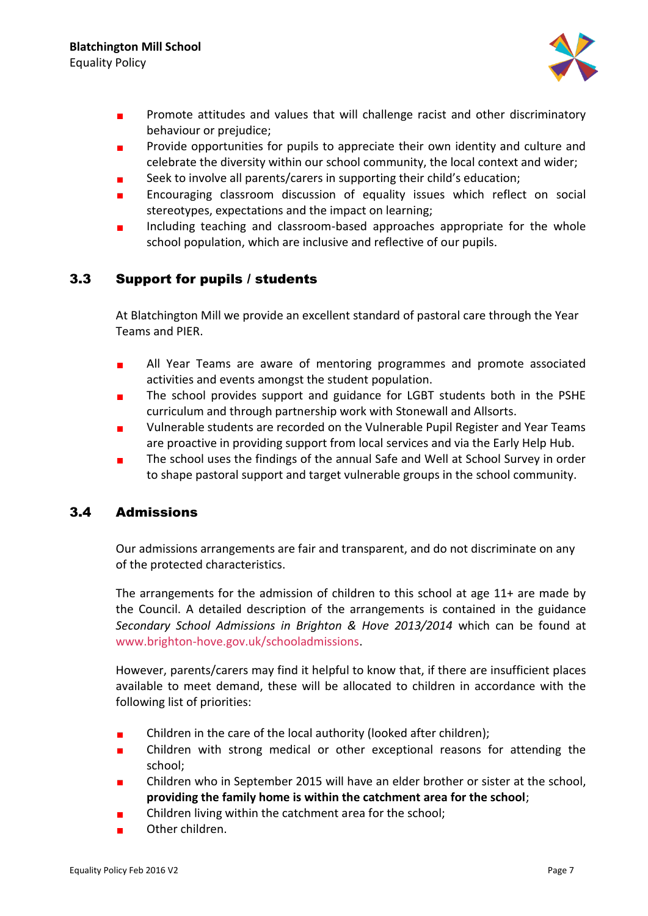

- Promote attitudes and values that will challenge racist and other discriminatory  $\blacksquare$ behaviour or prejudice;
- $\blacksquare$ Provide opportunities for pupils to appreciate their own identity and culture and celebrate the diversity within our school community, the local context and wider;
- Seek to involve all parents/carers in supporting their child's education;
- $\blacksquare$ Encouraging classroom discussion of equality issues which reflect on social stereotypes, expectations and the impact on learning;
- Including teaching and classroom-based approaches appropriate for the whole school population, which are inclusive and reflective of our pupils.

#### <span id="page-7-0"></span>3.3 Support for pupils / students

At Blatchington Mill we provide an excellent standard of pastoral care through the Year Teams and PIER.

- All Year Teams are aware of mentoring programmes and promote associated  $\blacksquare$ activities and events amongst the student population.
- The school provides support and guidance for LGBT students both in the PSHE curriculum and through partnership work with Stonewall and Allsorts.
- Vulnerable students are recorded on the Vulnerable Pupil Register and Year Teams  $\blacksquare$ are proactive in providing support from local services and via the Early Help Hub.
- The school uses the findings of the annual Safe and Well at School Survey in order to shape pastoral support and target vulnerable groups in the school community.

#### <span id="page-7-1"></span>3.4 Admissions

Our admissions arrangements are fair and transparent, and do not discriminate on any of the protected characteristics.

The arrangements for the admission of children to this school at age 11+ are made by the Council. A detailed description of the arrangements is contained in the guidance *Secondary School Admissions in Brighton & Hove 2013/2014* which can be found at [www.brighton-hove.gov.uk/schooladmissions.](http://www.brighton-hove.gov.uk/schooladmissions)

However, parents/carers may find it helpful to know that, if there are insufficient places available to meet demand, these will be allocated to children in accordance with the following list of priorities:

- Children in the care of the local authority (looked after children);  $\blacksquare$
- Children with strong medical or other exceptional reasons for attending the п school;
- Children who in September 2015 will have an elder brother or sister at the school, **providing the family home is within the catchment area for the school**;
- Children living within the catchment area for the school;
- Other children.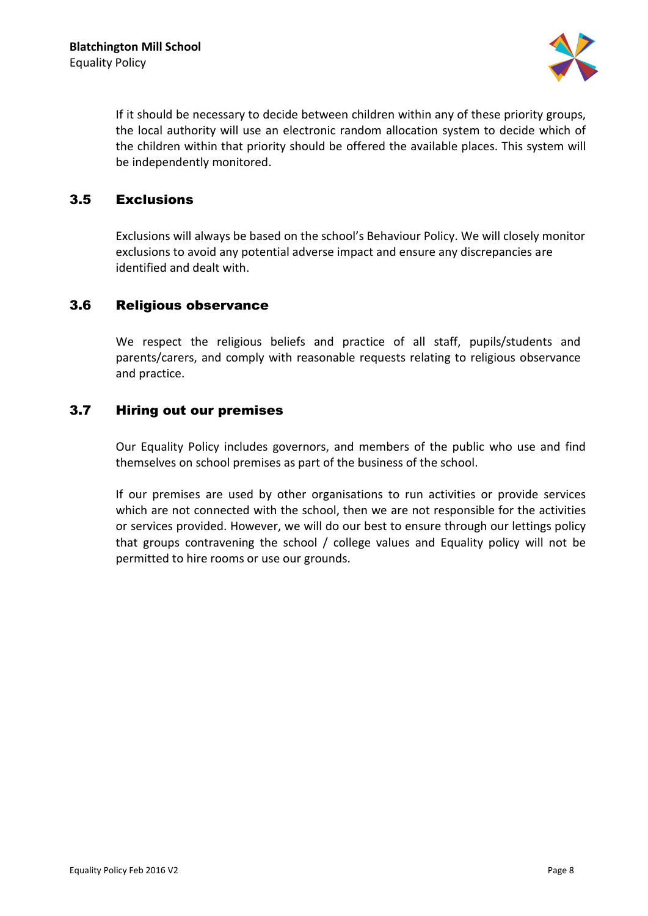

If it should be necessary to decide between children within any of these priority groups, the local authority will use an electronic random allocation system to decide which of the children within that priority should be offered the available places. This system will be independently monitored.

#### <span id="page-8-0"></span>3.5 Exclusions

Exclusions will always be based on the school's Behaviour Policy. We will closely monitor exclusions to avoid any potential adverse impact and ensure any discrepancies are identified and dealt with.

#### <span id="page-8-1"></span>3.6 Religious observance

We respect the religious beliefs and practice of all staff, pupils/students and parents/carers, and comply with reasonable requests relating to religious observance and practice.

#### <span id="page-8-2"></span>3.7 Hiring out our premises

Our Equality Policy includes governors, and members of the public who use and find themselves on school premises as part of the business of the school.

If our premises are used by other organisations to run activities or provide services which are not connected with the school, then we are not responsible for the activities or services provided. However, we will do our best to ensure through our lettings policy that groups contravening the school / college values and Equality policy will not be permitted to hire rooms or use our grounds.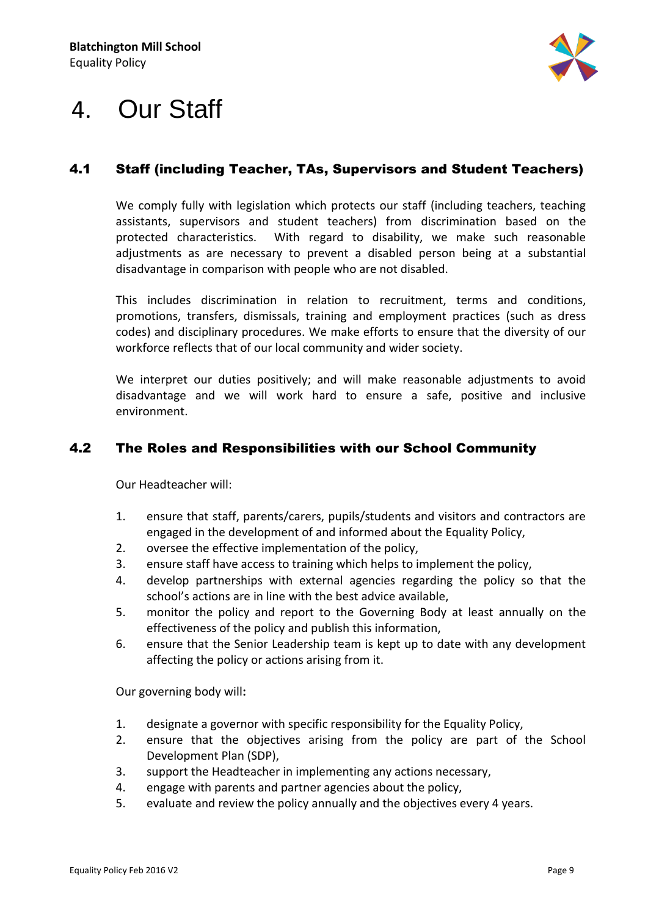

## <span id="page-9-0"></span>4. Our Staff

### <span id="page-9-1"></span>4.1 Staff (including Teacher, TAs, Supervisors and Student Teachers)

We comply fully with legislation which protects our staff (including teachers, teaching assistants, supervisors and student teachers) from discrimination based on the protected characteristics. With regard to disability, we make such reasonable adjustments as are necessary to prevent a disabled person being at a substantial disadvantage in comparison with people who are not disabled.

This includes discrimination in relation to recruitment, terms and conditions, promotions, transfers, dismissals, training and employment practices (such as dress codes) and disciplinary procedures. We make efforts to ensure that the diversity of our workforce reflects that of our local community and wider society.

We interpret our duties positively; and will make reasonable adjustments to avoid disadvantage and we will work hard to ensure a safe, positive and inclusive environment.

#### <span id="page-9-2"></span>4.2 The Roles and Responsibilities with our School Community

Our Headteacher will:

- 1. ensure that staff, parents/carers, pupils/students and visitors and contractors are engaged in the development of and informed about the Equality Policy,
- 2. oversee the effective implementation of the policy,
- 3. ensure staff have access to training which helps to implement the policy,
- 4. develop partnerships with external agencies regarding the policy so that the school's actions are in line with the best advice available,
- 5. monitor the policy and report to the Governing Body at least annually on the effectiveness of the policy and publish this information,
- 6. ensure that the Senior Leadership team is kept up to date with any development affecting the policy or actions arising from it.

Our governing body will**:**

- 1. designate a governor with specific responsibility for the Equality Policy,
- 2. ensure that the objectives arising from the policy are part of the School Development Plan (SDP),
- 3. support the Headteacher in implementing any actions necessary,
- 4. engage with parents and partner agencies about the policy,
- 5. evaluate and review the policy annually and the objectives every 4 years.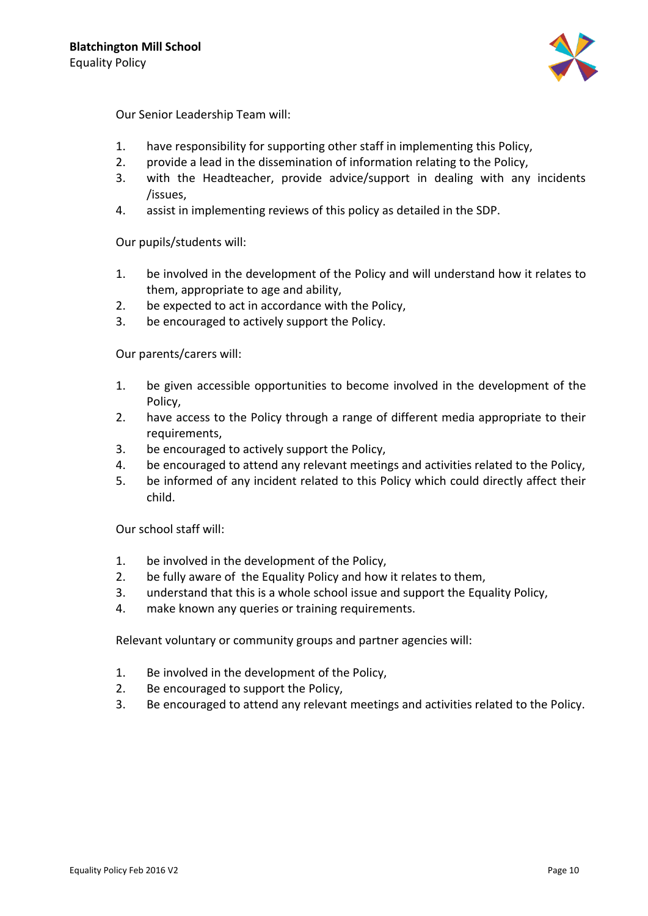

Our Senior Leadership Team will:

- 1. have responsibility for supporting other staff in implementing this Policy,
- 2. provide a lead in the dissemination of information relating to the Policy,
- 3. with the Headteacher, provide advice/support in dealing with any incidents /issues,
- 4. assist in implementing reviews of this policy as detailed in the SDP.

Our pupils/students will:

- 1. be involved in the development of the Policy and will understand how it relates to them, appropriate to age and ability,
- 2. be expected to act in accordance with the Policy,
- 3. be encouraged to actively support the Policy.

Our parents/carers will:

- 1. be given accessible opportunities to become involved in the development of the Policy,
- 2. have access to the Policy through a range of different media appropriate to their requirements,
- 3. be encouraged to actively support the Policy,
- 4. be encouraged to attend any relevant meetings and activities related to the Policy,
- 5. be informed of any incident related to this Policy which could directly affect their child.

Our school staff will:

- 1. be involved in the development of the Policy,
- 2. be fully aware of the Equality Policy and how it relates to them,
- 3. understand that this is a whole school issue and support the Equality Policy,
- 4. make known any queries or training requirements.

Relevant voluntary or community groups and partner agencies will:

- 1. Be involved in the development of the Policy,
- 2. Be encouraged to support the Policy,
- 3. Be encouraged to attend any relevant meetings and activities related to the Policy.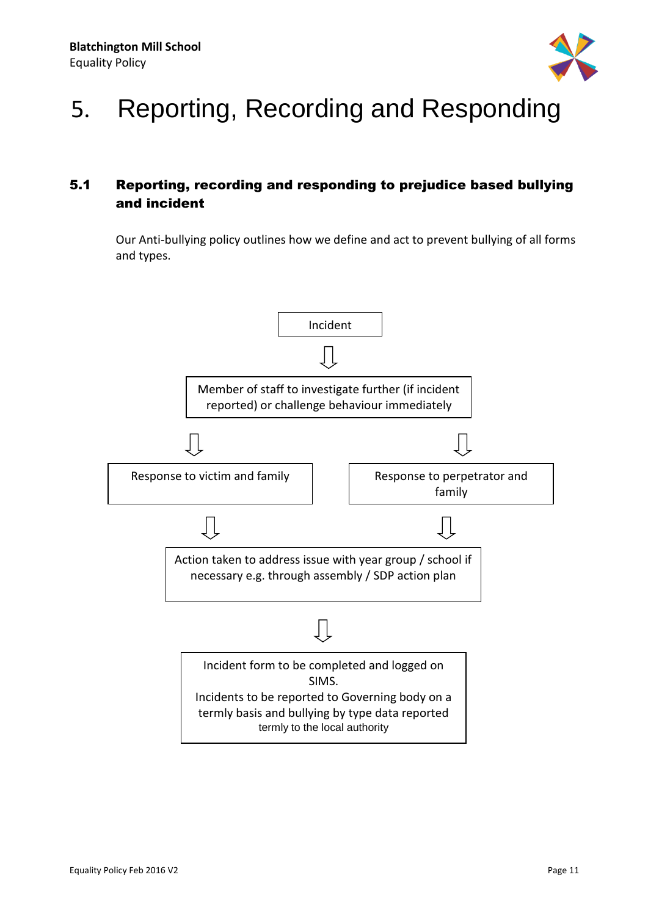

# <span id="page-11-0"></span>5. Reporting, Recording and Responding

### <span id="page-11-1"></span>5.1 Reporting, recording and responding to prejudice based bullying and incident

Our Anti-bullying policy outlines how we define and act to prevent bullying of all forms and types.

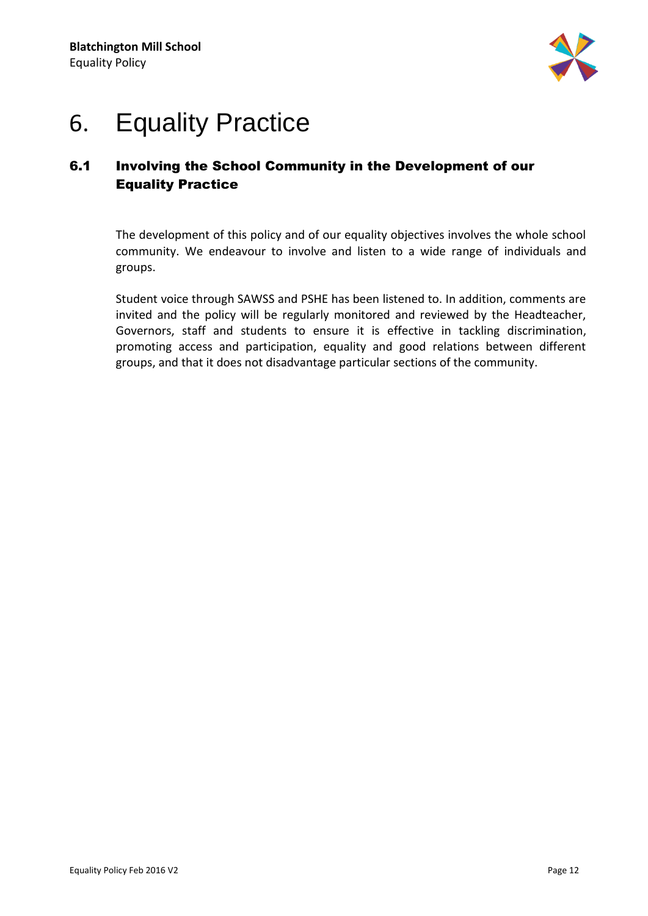

## <span id="page-12-0"></span>6. Equality Practice

## <span id="page-12-1"></span>6.1 Involving the School Community in the Development of our Equality Practice

The development of this policy and of our equality objectives involves the whole school community. We endeavour to involve and listen to a wide range of individuals and groups.

Student voice through SAWSS and PSHE has been listened to. In addition, comments are invited and the policy will be regularly monitored and reviewed by the Headteacher, Governors, staff and students to ensure it is effective in tackling discrimination, promoting access and participation, equality and good relations between different groups, and that it does not disadvantage particular sections of the community.